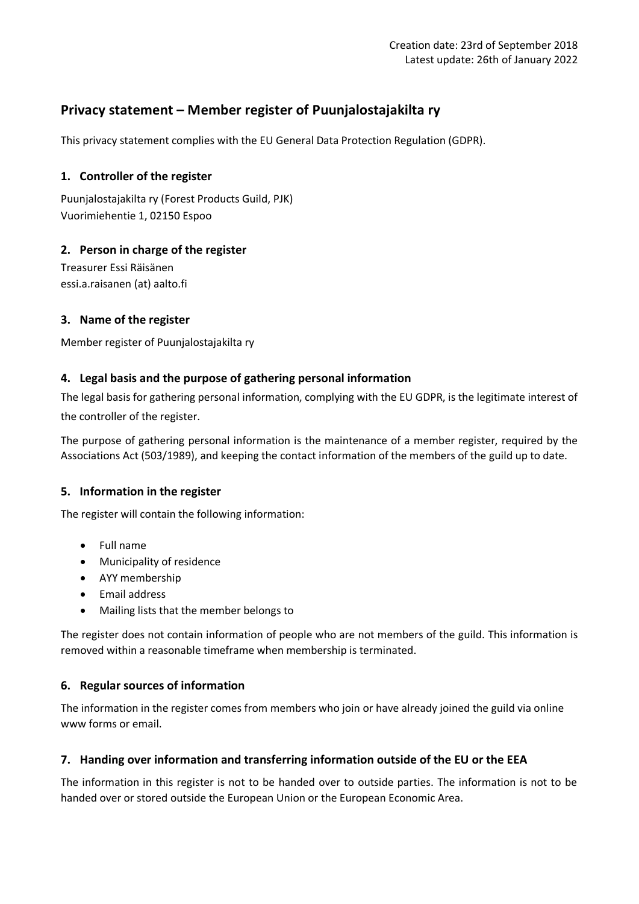# **Privacy statement – Member register of Puunjalostajakilta ry**

This privacy statement complies with the EU General Data Protection Regulation (GDPR).

### **1. Controller of the register**

Puunjalostajakilta ry (Forest Products Guild, PJK) Vuorimiehentie 1, 02150 Espoo

# **2. Person in charge of the register**

Treasurer Essi Räisänen essi.a.raisanen (at) aalto.fi

### **3. Name of the register**

Member register of Puunjalostajakilta ry

### **4. Legal basis and the purpose of gathering personal information**

The legal basis for gathering personal information, complying with the EU GDPR, is the legitimate interest of the controller of the register.

The purpose of gathering personal information is the maintenance of a member register, required by the Associations Act (503/1989), and keeping the contact information of the members of the guild up to date.

### **5. Information in the register**

The register will contain the following information:

- Full name
- Municipality of residence
- AYY membership
- Email address
- Mailing lists that the member belongs to

The register does not contain information of people who are not members of the guild. This information is removed within a reasonable timeframe when membership is terminated.

### **6. Regular sources of information**

The information in the register comes from members who join or have already joined the guild via online www forms or email.

### **7. Handing over information and transferring information outside of the EU or the EEA**

The information in this register is not to be handed over to outside parties. The information is not to be handed over or stored outside the European Union or the European Economic Area.